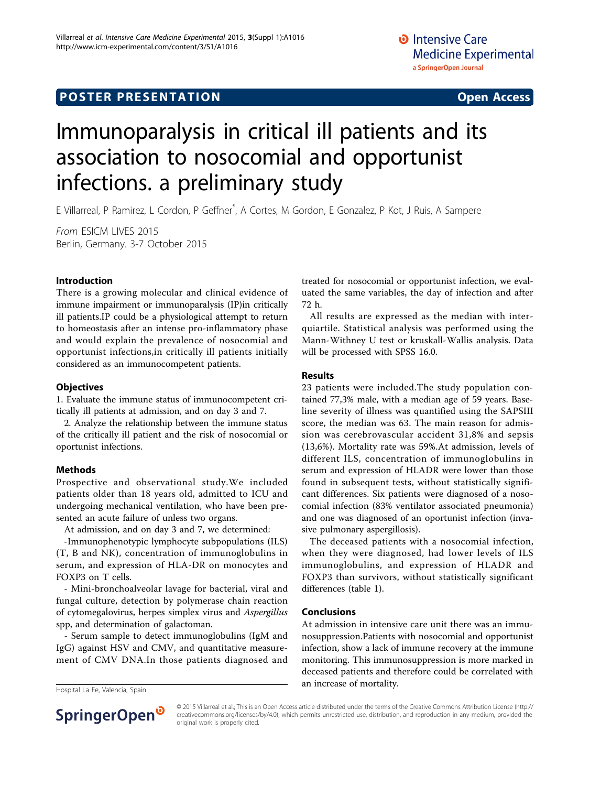# Immunoparalysis in critical ill patients and its association to nosocomial and opportunist infections. a preliminary study

E Villarreal, P Ramirez, L Cordon, P Geffner\* , A Cortes, M Gordon, E Gonzalez, P Kot, J Ruis, A Sampere

From ESICM LIVES 2015 Berlin, Germany. 3-7 October 2015

### Introduction

There is a growing molecular and clinical evidence of immune impairment or immunoparalysis (IP)in critically ill patients.IP could be a physiological attempt to return to homeostasis after an intense pro-inflammatory phase and would explain the prevalence of nosocomial and opportunist infections,in critically ill patients initially considered as an immunocompetent patients.

### **Objectives**

1. Evaluate the immune status of immunocompetent critically ill patients at admission, and on day 3 and 7.

2. Analyze the relationship between the immune status of the critically ill patient and the risk of nosocomial or oportunist infections.

#### Methods

Prospective and observational study.We included patients older than 18 years old, admitted to ICU and undergoing mechanical ventilation, who have been presented an acute failure of unless two organs.

At admission, and on day 3 and 7, we determined:

-Immunophenotypic lymphocyte subpopulations (ILS) (T, B and NK), concentration of immunoglobulins in serum, and expression of HLA-DR on monocytes and FOXP3 on T cells.

- Mini-bronchoalveolar lavage for bacterial, viral and fungal culture, detection by polymerase chain reaction of cytomegalovirus, herpes simplex virus and Aspergillus spp, and determination of galactoman.

- Serum sample to detect immunoglobulins (IgM and IgG) against HSV and CMV, and quantitative measurement of CMV DNA.In those patients diagnosed and

treated for nosocomial or opportunist infection, we evaluated the same variables, the day of infection and after 72 h.

All results are expressed as the median with interquiartile. Statistical analysis was performed using the Mann-Withney U test or kruskall-Wallis analysis. Data will be processed with SPSS 16.0.

#### Results

23 patients were included.The study population contained 77,3% male, with a median age of 59 years. Baseline severity of illness was quantified using the SAPSIII score, the median was 63. The main reason for admission was cerebrovascular accident 31,8% and sepsis (13,6%). Mortality rate was 59%.At admission, levels of different ILS, concentration of immunoglobulins in serum and expression of HLADR were lower than those found in subsequent tests, without statistically significant differences. Six patients were diagnosed of a nosocomial infection (83% ventilator associated pneumonia) and one was diagnosed of an oportunist infection (invasive pulmonary aspergillosis).

The deceased patients with a nosocomial infection, when they were diagnosed, had lower levels of ILS immunoglobulins, and expression of HLADR and FOXP3 than survivors, without statistically significant differences (table [1\)](#page-1-0).

#### Conclusions

At admission in intensive care unit there was an immunosuppression.Patients with nosocomial and opportunist infection, show a lack of immune recovery at the immune monitoring. This immunosuppression is more marked in deceased patients and therefore could be correlated with an increase of mortality. Hospital La Fe, Valencia, Spain



© 2015 Villarreal et al.; This is an Open Access article distributed under the terms of the Creative Commons Attribution License [\(http://](http://creativecommons.org/licenses/by/4.0) [creativecommons.org/licenses/by/4.0](http://creativecommons.org/licenses/by/4.0)), which permits unrestricted use, distribution, and reproduction in any medium, provided the original work is properly cited.